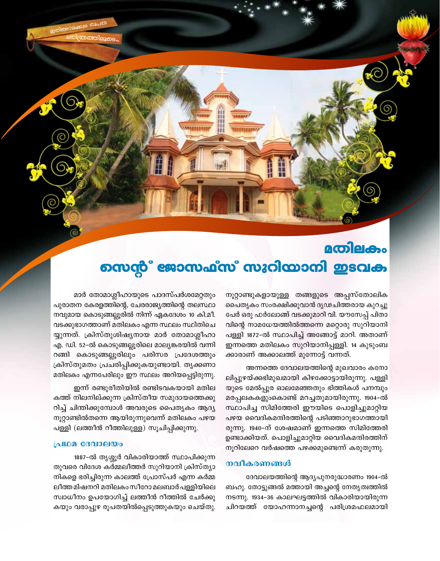# **acoleicho** നെന്റ് ജോസഫ്സ് സുറിയാനി ഇടവക

67578778777

നൂറ്റാണ്ടുകളായുള്ള തങ്ങളുടെ അപ്പസ്തോലിക പൈതൃകം സംരക്ഷിക്കുവാൻ ദൃഢചിത്തരായ കുറച്ചു പേർ ഒരു ഫർലോങ്ങ് വടക്കുമാറി വി. യൗസേപ്പ് പിതാ വിന്റെ നാമധേയത്തിൽത്തന്നെ മറ്റൊരു സുറിയാനി പള്ളി 1872-ൽ സ്ഥാപിച്ച് അങ്ങോട്ട് മാറി. അതാണ് ഇന്നത്തെ മതിലകം സുറിയാനിപ്പള്ളി. 14 കുടുംബ ക്കാരാണ് അക്കാലത്ത് മുന്നോട്ട് വന്നത്.

അന്നത്തെ ദേവാലയത്തിന്റെ മുഖവാരം കനോ ലിപ്പുഴയ്ക്കഭിമുഖമായി കിഴക്കോട്ടായിരുന്നു. പള്ളി യുടെ മേൽപ്പുര ഓലമേഞ്ഞതും ഭിത്തികൾ പനമ്പും മരപ്പലകകളുംകൊണ്ട് മറച്ചതുമായിരുന്നു. 1904-ൽ സ്ഥാപിച്ച സിമിത്തേരി ഈയിടെ പൊളിച്ചുമാറ്റിയ പഴയ വൈദികമന്ദിരത്തിന്റെ പടിഞ്ഞാറുഭാഗത്തായി രുന്നു. 1940-ന് ശേഷമാണ് ഇന്നത്തെ സിമിത്തേരി ഉണ്ടാക്കിയത്. പൊളിച്ചുമാറ്റിയ വൈദികമന്ദിരത്തിന് നൂറിലേറെ വർഷത്തെ പഴക്കമുണ്ടെന്ന് കരുതുന്നു.

### നവീകരണങ്ങൾ

ദേവാലയത്തിന്റെ ആദ്യപുനരുദ്ധാരണം 1904–ൽ ബഹു. തോട്ടുങ്ങൽ മത്തായി അച്ചന്റെ നേതൃത്വത്തിൽ നടന്നു. 1934-36 കാലഘട്ടത്തിൽ വികാരിയായിരുന്ന ചിറയത്ത് യോഹന്നാനച്ചന്റെ പരിശ്രമഫലമായി

മാർ തോമാശ്ലീഹായുടെ പാദസ്പർശമേറ്റതും പുരാതന കേരളത്തിന്റെ, ചേരരാജ്യത്തിന്റെ തലസ്ഥാ നവുമായ കൊടുങ്ങല്ലൂരിൽ നിന്ന് ഏകദേശം 10 കി.മീ. വടക്കുഭാഗത്താണ് മതിലകം എന്ന സ്ഥലം സ്ഥിതിചെ യ്യുന്നത്. ക്രിസ്തുശിഷ്യനായ മാർ തോമാശ്ലീഹാ എ. ഡി. 52-ൽ കൊടുങ്ങല്ലൂരിലെ മാല്യങ്കരയിൽ വന്നി റങ്ങി കൊടുങ്ങല്ലൂരിലും പരിസര പ്രദേശത്തും ക്രിസ്തുമതം പ്രചരിപ്പിക്കുകയുണ്ടായി. തൃക്കണാ മതിലകം എന്നപേരിലും ഈ സ്ഥലം അറിയപ്പെട്ടിരുന്നു.

ഇന്ന് രണ്ടുരീതിയിൽ രണ്ടിടവകയായി മതില കത്ത് നിലനില്ക്കുന്ന ക്രിസ്തീയ സമുദായത്തെക്കു റിച്ച് ചിന്തിക്കുമ്പോൾ അവരുടെ പൈതൃകം ആദ്യ നൂറ്റാണ്ടിൽതന്നെ ആയിരുന്നുവെന്ന് മതിലകം പഴയ പള്ളി (ലത്തീൻ റീത്തിലുള്ള) സൂചിപ്പിക്കുന്നു.

#### പ്രഥമ ദേവാലയം

1887-ൽ തൃശ്ശൂർ വികാരിയാത്ത് സ്ഥാപിക്കുന്ന തുവരെ വിദേശ കർമ്മലീത്തർ സുറിയാനി ക്രിസ്ത്യാ നികളെ ഭരിച്ചിരുന്ന കാലത്ത് പ്രോസ്പർ എന്ന കർമ്മ ലീത്ത മിഷനറി മതിലകം സീറോ മലബാർ പള്ളിയിലെ സ്വാധീനം ഉപയോഗിച്ച് ലത്തീൻ റീത്തിൽ ചേർക്കു കയും വരാപ്പുഴ രൂപതയിൽപ്പെടുത്തുകയും ചെയ്തു.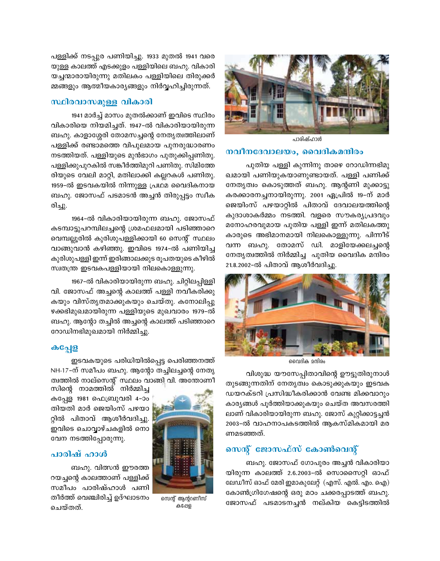

പാരിഷ്ഹാൾ

## നവീനദേവാലയം, വൈദികമന്ദിരം

പുതിയ പള്ളി കുന്നിനു താഴെ റോഡിന്നഭിമു ഖമായി പണിയുകയാണുണ്ടായത്. പള്ളി പണിക്ക് നേതൃത്വം കൊടുത്തത് ബഹു. ആന്റണി മുക്കാട്ടു കരക്കാരനച്ചനായിരുന്നു. 2001 ഏപ്രിൽ 19–ന് മാർ ജെയിംസ് പഴയാറ്റിൽ പിതാവ് ദേവാലയത്തിന്റെ കുദാശാകർമ്മം നടത്തി. വളരെ സൗകര്യപ്രദവും മനോഹരവുമായ പുതിയ പള്ളി ഇന്ന് മതിലകത്തു കാരുടെ അഭിമാനമായി നിലകൊള്ളുന്നു. പിന്നീട് വന്ന ബഹു. തോമസ് ഡി. മാളിയേക്കലച്ചന്റെ നേതൃത്വത്തിൽ നിർമ്മിച്ച പുതിയ വൈദിക മന്ദിരം 21.8.2002-ൽ പിതാവ് ആശീർവദിച്ചു.



വൈദിക മന്ദിരം

വിശുദ്ധ യൗസേപ്പിതാവിന്റെ ഊട്ടുതിരുനാൾ തുടങ്ങുന്നതിന് നേതൃത്വം കൊടുക്കുകയും ഇടവക ഡയറക്ടറി പ്രസിദ്ധീകരിക്കാൻ വേണ്ട മിക്കവാറും കാര്യങ്ങൾ പൂർത്തിയാക്കുകയും ചെയ്ത അവസരത്തി ലാണ് വികാരിയായിരുന്ന ബഹു. ജോസ് കുറ്റിക്കാട്ടച്ചൻ 2003-ൽ വാഹനാപകടത്തിൽ ആകസ്മികമായി മര ണമടഞ്ഞത്.

# സെന്റ് ജോസഫ്സ് കോൺവെന്റ്

ബഹു. ജോസഫ് ഗോപുരം അച്ചൻ വികാരിയാ യിരുന്ന കാലത്ത് 2.6.2003–ൽ സൊസൈറ്റി ഓഫ് ലേഡീസ് ഓഫ് മേരി ഇമാകുലേറ്റ് (എസ്. എൽ. എം. ഐ) കോൺഗ്രിഗേഷന്റെ ഒരു മഠം ചക്കരപ്പാടത്ത് ബഹു. ജോസഫ് പടമാടനച്ചൻ നല്കിയ കെട്ടിടത്തിൽ

പള്ളിക്ക് നടപ്പുര പണിയിച്ചു. 1933 മുതൽ 1941 വരെ യുള്ള കാലത്ത് എടക്കുളം പള്ളിയിലെ ബഹു. വികാരി യച്ചന്മാരായിരുന്നു മതിലകം പള്ളിയിലെ തിരുക്കർ മ്മങ്ങളും ആത്മീയകാര്യങ്ങളും നിർവ്വഹിച്ചിരുന്നത്.

# സ്ഥിരവാസമുള്ള വികാരി

1941 മാർച്ച് മാസം മുതൽക്കാണ് ഇവിടെ സ്ഥിരം വികാരിയെ നിയമിച്ചത്. 1947-ൽ വികാരിയായിരുന്ന ബഹു. കാളാശ്ശേരി തോമസച്ചന്റെ നേതൃത്വത്തിലാണ് പള്ളിക്ക് രണ്ടാമത്തെ വിപുലമായ പുനരുദ്ധാരണം നടത്തിയത്. പള്ളിയുടെ മുൻഭാഗം പുതുക്കിപ്പണിതു. പള്ളിക്കുപുറകിൽ സങ്കീർത്തിമുറി പണിതു. സിമിത്തേ രിയുടെ വേലി മാറ്റി, മതിലാക്കി കല്ലറകൾ പണിതു. 1959-ൽ ഇടവകയിൽ നിന്നുള്ള പ്രഥമ വൈദികനായ ബഹു. ജോസഫ് പടമാടൻ അച്ചൻ തിരുപ്പട്ടം സ്വീക രിച്ചു.

1964-ൽ വികാരിയായിരുന്ന ബഹു. ജോസഫ് കടമ്പാട്ടുപറമ്പിലച്ചന്റെ ശ്രമഫലമായി പടിഞ്ഞാറെ വെമ്പല്ലൂരിൽ കുരിശുപള്ളിക്കായി 60 സെന്റ് സ്ഥലം വാങ്ങുവാൻ കഴിഞ്ഞു. ഇവിടെ 1974-ൽ പണിയിച്ച കുരിശുപള്ളി ഇന്ന് ഇരിങ്ങാലക്കുട രൂപതയുടെ കീഴിൽ സ്വതന്ത്ര ഇടവകപള്ളിയായി നിലകൊള്ളുന്നു.

1967-ൽ വികാരിയായിരുന്ന ബഹു. ചിറ്റിലപ്പിള്ളി വി. ജോസഫ് അച്ചന്റെ കാലത്ത് പള്ളി നവീകരിക്കു കയും വിസ്തൃതമാക്കുകയും ചെയ്തു. കനോലിപ്പു ഴക്കഭിമുഖമായിരുന്ന പള്ളിയുടെ മുഖവാരം 1979-ൽ ബഹു. ആന്റോ തച്ചിൽ അച്ചന്റെ കാലത്ത് പടിഞ്ഞാറെ റോഡിനഭിമുഖമായി നിർമ്മിച്ചു.

### க்வேு

ഇടവകയുടെ പരിധിയിൽപ്പെട്ട പെരിഞ്ഞനത്ത് NH-17-ന് സമീപം ബഹു. ആന്റോ തച്ചിലച്ചന്റെ നേതൃ ത്വത്തിൽ നാല്സെന്റ് സ്ഥലം വാങ്ങി വി. അന്തോണീ



സെന്റ് ആന്ററണീസ് കപ്പേള

സിന്റെ നാമത്തിൽ നിർമ്മിച്ച കപ്പേള 1981 ഫെബ്രുവരി 4–ാം തിയതി മാർ ജെയിംസ് പഴയാ റ്റിൽ പിതാവ് ആശീർവദിച്ചു. ഇവിടെ ചൊവ്വാഴ്ചകളിൽ നൊ വേന നടത്തിപ്പോരുന്നു.

# പാരിഷ് ഹാൾ

ബഹു. വിത്സൻ ഈരത്ത റയച്ചന്റെ കാലത്താണ് പള്ളിക്ക് സമീപം പാരിഷ്ഹാൾ പണി തീർത്ത് വെഞ്ചിരിച്ച് ഉദ്ഘാടനം ചെത്തത്.